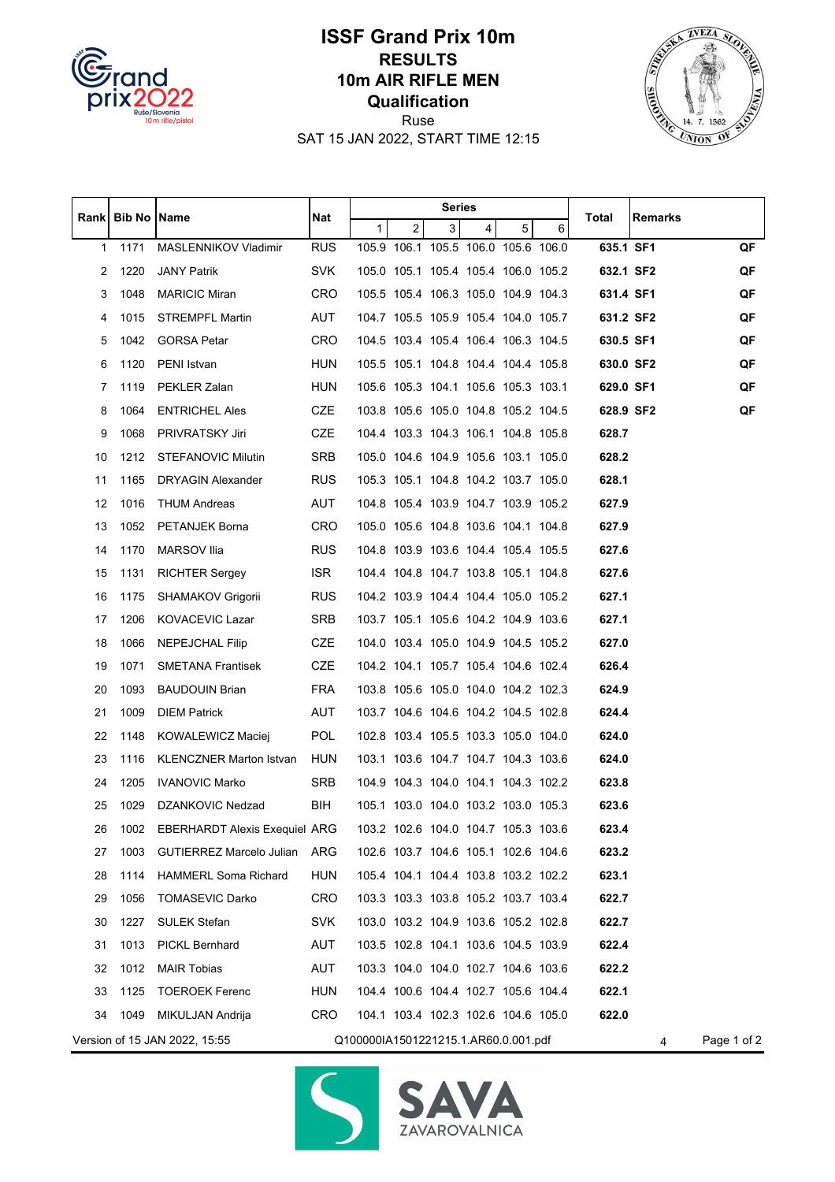

## **ISSF Grand Prix 10m RESULTS 10m AIR RIFLE MEN Qualification**



Ruse SAT 15 JAN 2022, START TIME 12:15

|                                                                                           | Rank   Bib No | Name                                 | Nat        | Series       |   |   |                                     |   |   |           |                |    |
|-------------------------------------------------------------------------------------------|---------------|--------------------------------------|------------|--------------|---|---|-------------------------------------|---|---|-----------|----------------|----|
|                                                                                           |               |                                      |            | $\mathbf{1}$ | 2 | 3 | $\overline{4}$                      | 5 | 6 | Total     | <b>Remarks</b> |    |
| 1                                                                                         | 1171          | MASLENNIKOV Vladimir                 | <b>RUS</b> |              |   |   | 105.9 106.1 105.5 106.0 105.6 106.0 |   |   | 635.1 SF1 |                | QF |
| 2                                                                                         | 1220          | <b>JANY Patrik</b>                   | <b>SVK</b> |              |   |   | 105.0 105.1 105.4 105.4 106.0 105.2 |   |   | 632.1 SF2 |                | QF |
| 3                                                                                         | 1048          | <b>MARICIC Miran</b>                 | <b>CRO</b> |              |   |   | 105.5 105.4 106.3 105.0 104.9 104.3 |   |   | 631.4 SF1 |                | QF |
| 4                                                                                         | 1015          | <b>STREMPFL Martin</b>               | AUT        |              |   |   | 104.7 105.5 105.9 105.4 104.0 105.7 |   |   | 631.2 SF2 |                | QF |
| 5                                                                                         | 1042          | <b>GORSA Petar</b>                   | <b>CRO</b> |              |   |   | 104.5 103.4 105.4 106.4 106.3 104.5 |   |   | 630.5 SF1 |                | QF |
| 6                                                                                         | 1120          | PENI Istvan                          | <b>HUN</b> |              |   |   | 105.5 105.1 104.8 104.4 104.4 105.8 |   |   | 630.0 SF2 |                | QF |
| 7                                                                                         | 1119          | PEKLER Zalan                         | <b>HUN</b> |              |   |   | 105.6 105.3 104.1 105.6 105.3 103.1 |   |   | 629.0 SF1 |                | QF |
| 8                                                                                         | 1064          | <b>ENTRICHEL Ales</b>                | CZE        |              |   |   | 103.8 105.6 105.0 104.8 105.2 104.5 |   |   | 628.9 SF2 |                | QF |
| 9                                                                                         | 1068          | PRIVRATSKY Jiri                      | <b>CZE</b> |              |   |   | 104.4 103.3 104.3 106.1 104.8 105.8 |   |   | 628.7     |                |    |
| 10                                                                                        | 1212          | STEFANOVIC Milutin                   | SRB        |              |   |   | 105.0 104.6 104.9 105.6 103.1 105.0 |   |   | 628.2     |                |    |
| 11                                                                                        | 1165          | <b>DRYAGIN Alexander</b>             | <b>RUS</b> |              |   |   | 105.3 105.1 104.8 104.2 103.7 105.0 |   |   | 628.1     |                |    |
| 12                                                                                        | 1016          | THUM Andreas                         | AUT        |              |   |   | 104.8 105.4 103.9 104.7 103.9 105.2 |   |   | 627.9     |                |    |
| 13                                                                                        | 1052          | PETANJEK Borna                       | <b>CRO</b> |              |   |   | 105.0 105.6 104.8 103.6 104.1 104.8 |   |   | 627.9     |                |    |
| 14                                                                                        | 1170          | MARSOV Ilia                          | <b>RUS</b> |              |   |   | 104.8 103.9 103.6 104.4 105.4 105.5 |   |   | 627.6     |                |    |
| 15                                                                                        | 1131          | <b>RICHTER Sergey</b>                | ISR.       |              |   |   | 104.4 104.8 104.7 103.8 105.1 104.8 |   |   | 627.6     |                |    |
| 16                                                                                        | 1175          | SHAMAKOV Grigorii                    | <b>RUS</b> |              |   |   | 104.2 103.9 104.4 104.4 105.0 105.2 |   |   | 627.1     |                |    |
| 17                                                                                        | 1206          | KOVACEVIC Lazar                      | SRB        |              |   |   | 103.7 105.1 105.6 104.2 104.9 103.6 |   |   | 627.1     |                |    |
| 18                                                                                        | 1066          | <b>NEPEJCHAL Filip</b>               | CZE        |              |   |   | 104.0 103.4 105.0 104.9 104.5 105.2 |   |   | 627.0     |                |    |
| 19                                                                                        | 1071          | <b>SMETANA Frantisek</b>             | <b>CZE</b> |              |   |   | 104.2 104.1 105.7 105.4 104.6 102.4 |   |   | 626.4     |                |    |
| 20                                                                                        | 1093          | <b>BAUDOUIN Brian</b>                | <b>FRA</b> |              |   |   | 103.8 105.6 105.0 104.0 104.2 102.3 |   |   | 624.9     |                |    |
| 21                                                                                        | 1009          | <b>DIEM Patrick</b>                  | AUT        |              |   |   | 103.7 104.6 104.6 104.2 104.5 102.8 |   |   | 624.4     |                |    |
| 22                                                                                        | 1148          | KOWALEWICZ Maciej                    | <b>POL</b> |              |   |   | 102.8 103.4 105.5 103.3 105.0 104.0 |   |   | 624.0     |                |    |
| 23                                                                                        | 1116          | <b>KLENCZNER Marton Istvan</b>       | <b>HUN</b> |              |   |   | 103.1 103.6 104.7 104.7 104.3 103.6 |   |   | 624.0     |                |    |
| 24                                                                                        | 1205          | <b>IVANOVIC Marko</b>                | <b>SRB</b> |              |   |   | 104.9 104.3 104.0 104.1 104.3 102.2 |   |   | 623.8     |                |    |
| 25                                                                                        | 1029          | DZANKOVIC Nedzad                     | BIH        |              |   |   | 105.1 103.0 104.0 103.2 103.0 105.3 |   |   | 623.6     |                |    |
| 26                                                                                        | 1002          | <b>EBERHARDT Alexis Exequiel ARG</b> |            |              |   |   | 103.2 102.6 104.0 104.7 105.3 103.6 |   |   | 623.4     |                |    |
| 27                                                                                        | 1003          | <b>GUTIERREZ Marcelo Julian</b>      | ARG        |              |   |   | 102.6 103.7 104.6 105.1 102.6 104.6 |   |   | 623.2     |                |    |
| 28                                                                                        | 1114          | <b>HAMMERL Soma Richard</b>          | <b>HUN</b> |              |   |   | 105.4 104.1 104.4 103.8 103.2 102.2 |   |   | 623.1     |                |    |
| 29                                                                                        | 1056          | <b>TOMASEVIC Darko</b>               | CRO        |              |   |   | 103.3 103.3 103.8 105.2 103.7 103.4 |   |   | 622.7     |                |    |
| 30                                                                                        | 1227          | <b>SULEK Stefan</b>                  | <b>SVK</b> |              |   |   | 103.0 103.2 104.9 103.6 105.2 102.8 |   |   | 622.7     |                |    |
| 31                                                                                        | 1013          | <b>PICKL Bernhard</b>                | <b>AUT</b> |              |   |   | 103.5 102.8 104.1 103.6 104.5 103.9 |   |   | 622.4     |                |    |
| 32                                                                                        | 1012          | <b>MAIR Tobias</b>                   | AUT        |              |   |   | 103.3 104.0 104.0 102.7 104.6 103.6 |   |   | 622.2     |                |    |
| 33                                                                                        | 1125          | <b>TOEROEK Ferenc</b>                | <b>HUN</b> |              |   |   | 104.4 100.6 104.4 102.7 105.6 104.4 |   |   | 622.1     |                |    |
| 34                                                                                        | 1049          | MIKULJAN Andrija                     | CRO        |              |   |   | 104.1 103.4 102.3 102.6 104.6 105.0 |   |   | 622.0     |                |    |
| Page 1 of 2<br>Version of 15 JAN 2022, 15:55<br>Q100000IA1501221215.1.AR60.0.001.pdf<br>4 |               |                                      |            |              |   |   |                                     |   |   |           |                |    |